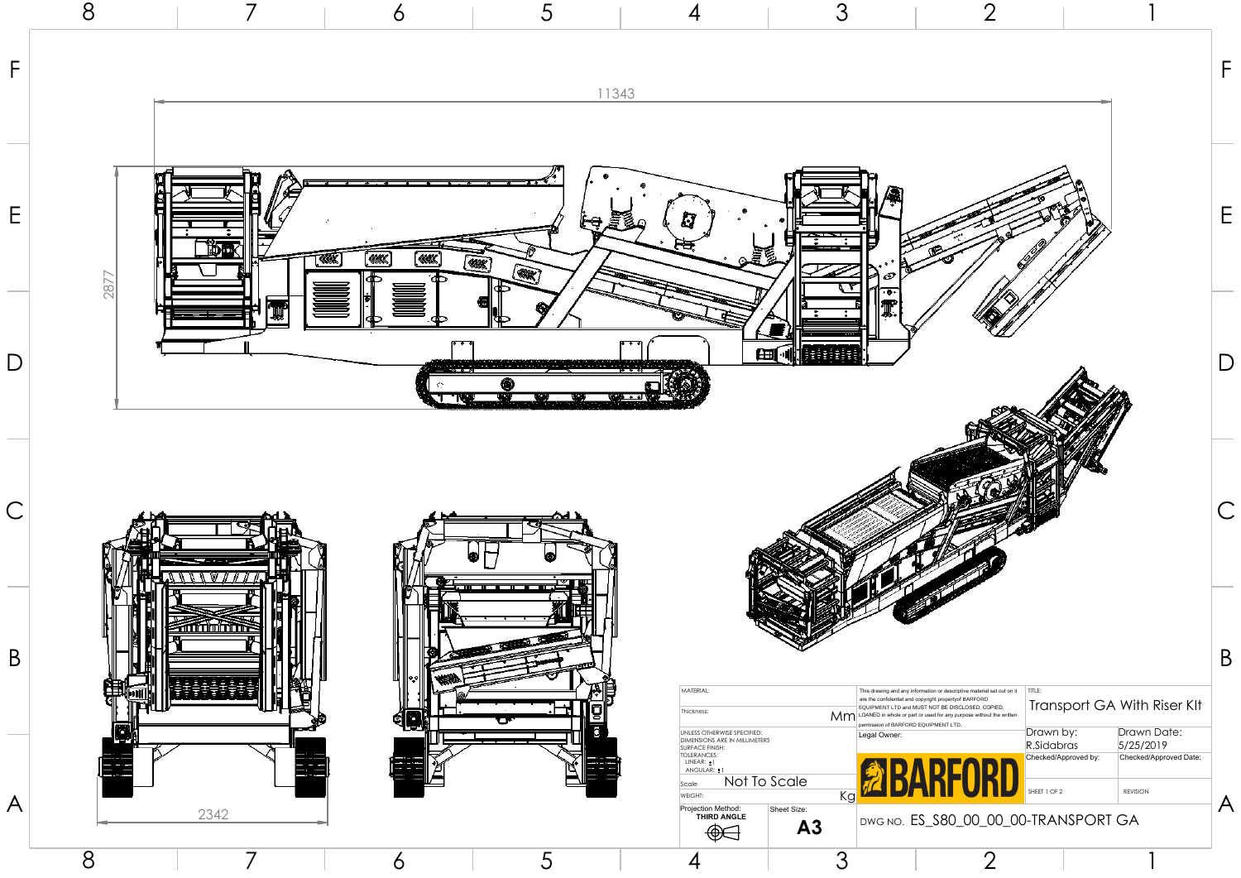





A

8 7

B

## 80\_00\_00\_00-TRANSPORT GA

E

B



D

F

A



| E<br>ଷା | MATERIAL:<br>Thickness:<br>UNLESS OTHERWISE SPECIFIED:<br>DIMENSIONS ARE IN MILLIMETERS<br><b>SURFACE FINISH:</b><br><b>TOLERANCES:</b><br>LINEAR: 1<br>ANGULAR: 11<br>Not To Scale<br>Scale<br>WEIGHT:<br>Projection Method:<br>Sheet Size:<br><b>THIRD ANGLE</b><br>A <sub>3</sub><br>₩ | Legal Owner:<br>Kg | This drawing and any information or descriptive material set out on it<br>are the confidential and copyright propertyof BARFORD<br>EQUIPMENT LTD and MUST NOT BE DISCLOSED, COPIED,<br>Mm LOANED in whole or part or used for any purpose without the written<br>permission of BARFORD EQUIPMENT LTD.<br>DWG NO. ES_S80_00_00_00-TRANSPORT GA | TITLE:<br>Transport GA With R<br>Drawn by:<br>R.Sidabras<br>Checked/Approved by:<br>SHEET 1 OF 2 | Drawn D<br>5/25/20<br>Checked/Ap<br><b>REVISION</b> |
|---------|-------------------------------------------------------------------------------------------------------------------------------------------------------------------------------------------------------------------------------------------------------------------------------------------|--------------------|-----------------------------------------------------------------------------------------------------------------------------------------------------------------------------------------------------------------------------------------------------------------------------------------------------------------------------------------------|--------------------------------------------------------------------------------------------------|-----------------------------------------------------|
| Ó       |                                                                                                                                                                                                                                                                                           |                    |                                                                                                                                                                                                                                                                                                                                               |                                                                                                  |                                                     |